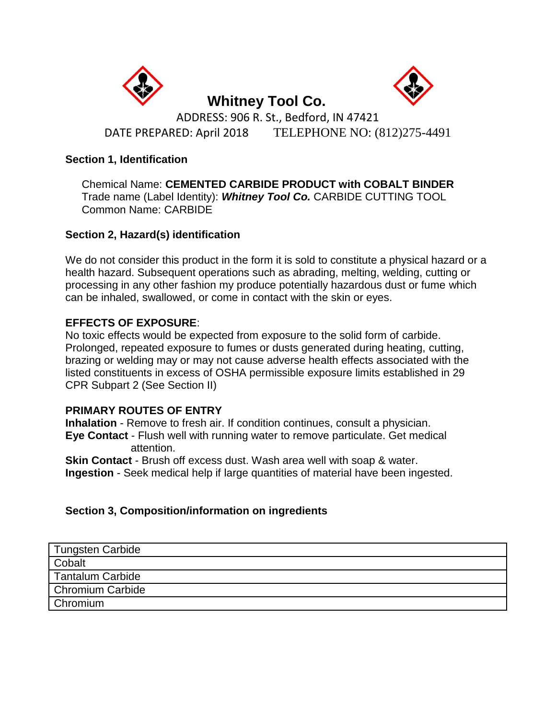



 **Whitney Tool Co.**  ADDRESS: 906 R. St., Bedford, IN 47421 DATE PREPARED: April 2018TELEPHONE NO: (812)275-4491

### **Section 1, Identification**

Chemical Name: **CEMENTED CARBIDE PRODUCT with COBALT BINDER** Trade name (Label Identity): *Whitney Tool Co.* CARBIDE CUTTING TOOL Common Name: CARBIDE

# **Section 2, Hazard(s) identification**

We do not consider this product in the form it is sold to constitute a physical hazard or a health hazard. Subsequent operations such as abrading, melting, welding, cutting or processing in any other fashion my produce potentially hazardous dust or fume which can be inhaled, swallowed, or come in contact with the skin or eyes.

# **EFFECTS OF EXPOSURE**:

No toxic effects would be expected from exposure to the solid form of carbide. Prolonged, repeated exposure to fumes or dusts generated during heating, cutting, brazing or welding may or may not cause adverse health effects associated with the listed constituents in excess of OSHA permissible exposure limits established in 29 CPR Subpart 2 (See Section II)

#### **PRIMARY ROUTES OF ENTRY**

**Inhalation** - Remove to fresh air. If condition continues, consult a physician. **Eye Contact** - Flush well with running water to remove particulate. Get medical attention.

**Skin Contact** - Brush off excess dust. Wash area well with soap & water. **Ingestion** - Seek medical help if large quantities of material have been ingested.

# **Section 3, Composition/information on ingredients**

| Tungsten Carbide |
|------------------|
| Cobalt           |
| Tantalum Carbide |
| Chromium Carbide |
| <b>Chromium</b>  |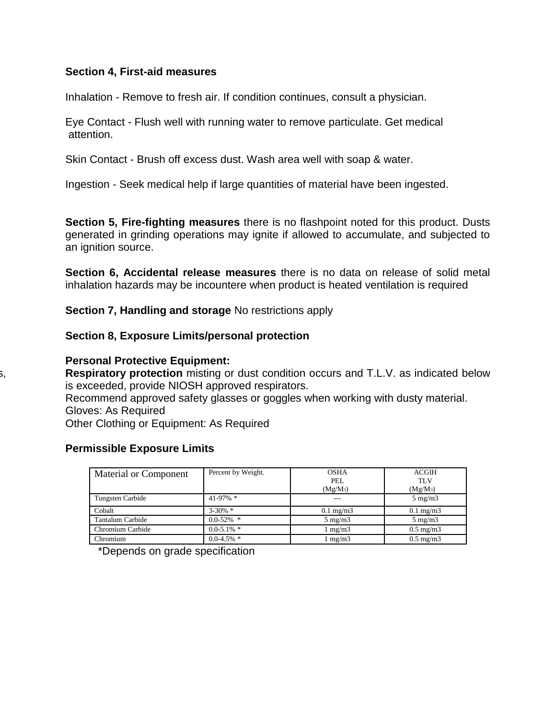#### **Section 4, First-aid measures**

Inhalation - Remove to fresh air. If condition continues, consult a physician.

Eye Contact - Flush well with running water to remove particulate. Get medical attention.

Skin Contact - Brush off excess dust. Wash area well with soap & water.

Ingestion - Seek medical help if large quantities of material have been ingested.

**Section 5, Fire-fighting measures** there is no flashpoint noted for this product. Dusts generated in grinding operations may ignite if allowed to accumulate, and subjected to an ignition source.

**Section 6, Accidental release measures** there is no data on release of solid metal inhalation hazards may be incountere when product is heated ventilation is required

**Section 7, Handling and storage** No restrictions apply

**Section 8, Exposure Limits/personal protection**

**Personal Protective Equipment:** 

Respiratory protection misting or dust condition occurs and T.L.V. as indicated below is exceeded, provide NIOSH approved respirators. Recommend approved safety glasses or goggles when working with dusty material. Gloves: As Required Other Clothing or Equipment: As Required

#### **Permissible Exposure Limits**

| Material or Component | Percent by Weight. | <b>OSHA</b><br>PEL. | <b>ACGIH</b><br><b>TLV</b> |
|-----------------------|--------------------|---------------------|----------------------------|
|                       |                    | $(Mg/M_3)$          | $(Mg/M_3)$                 |
| Tungsten Carbide      | $41-97\%$ *        |                     | $5 \text{ mg/m}$           |
| Cobalt                | $3 - 30\%$ *       | $0.1 \text{ mg/m}$  | $0.1 \text{ mg/m}$         |
| Tantalum Carbide      | $0.0 - 52\%$ *     | $5 \text{ mg/m}$    | $5 \text{ mg/m}$           |
| Chromium Carbide      | $0.0 - 5.1\%$ *    | $\lfloor$ mg/m3     | $0.5 \text{ mg/m}$         |
| Chromium              | $0.0 - 4.5\%$ *    | mg/m3               | $0.5 \text{ mg/m}$         |

\*Depends on grade specification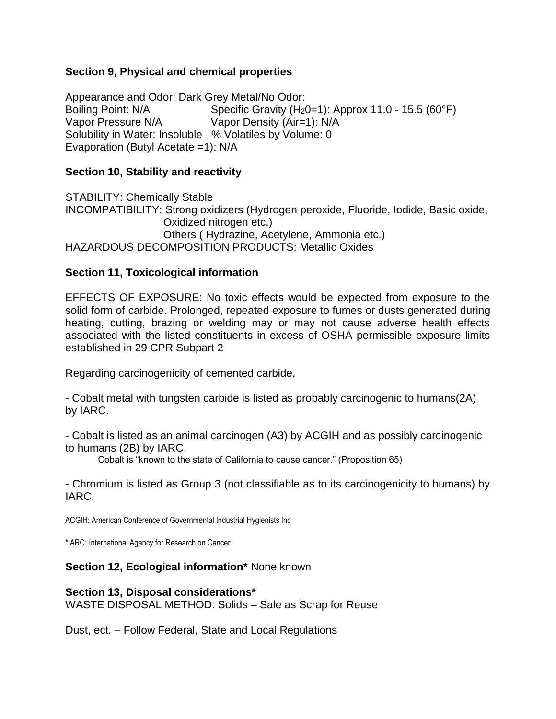### **Section 9, Physical and chemical properties**

Appearance and Odor: Dark Grey Metal/No Odor: Boiling Point: N/A Specific Gravity (H<sub>2</sub>0=1): Approx 11.0 - 15.5 (60°F) Vapor Pressure N/A Vapor Density (Air=1): N/A Solubility in Water: Insoluble % Volatiles by Volume: 0 Evaporation (Butyl Acetate =1): N/A

### **Section 10, Stability and reactivity**

STABILITY: Chemically Stable INCOMPATIBILITY: Strong oxidizers (Hydrogen peroxide, Fluoride, Iodide, Basic oxide, Oxidized nitrogen etc.) Others ( Hydrazine, Acetylene, Ammonia etc.) HAZARDOUS DECOMPOSITION PRODUCTS: Metallic Oxides

#### **Section 11, Toxicological information**

EFFECTS OF EXPOSURE: No toxic effects would be expected from exposure to the solid form of carbide. Prolonged, repeated exposure to fumes or dusts generated during heating, cutting, brazing or welding may or may not cause adverse health effects associated with the listed constituents in excess of OSHA permissible exposure limits established in 29 CPR Subpart 2

Regarding carcinogenicity of cemented carbide,

- Cobalt metal with tungsten carbide is listed as probably carcinogenic to humans(2A) by IARC.

- Cobalt is listed as an animal carcinogen (A3) by ACGIH and as possibly carcinogenic to humans (2B) by IARC.

Cobalt is "known to the state of California to cause cancer." (Proposition 65)

- Chromium is listed as Group 3 (not classifiable as to its carcinogenicity to humans) by IARC.

ACGIH: American Conference of Governmental Industrial Hygienists Inc

\*IARC: International Agency for Research on Cancer

**Section 12, Ecological information\*** None known

#### **Section 13, Disposal considerations\***

WASTE DISPOSAL METHOD: Solids – Sale as Scrap for Reuse

Dust, ect. – Follow Federal, State and Local Regulations